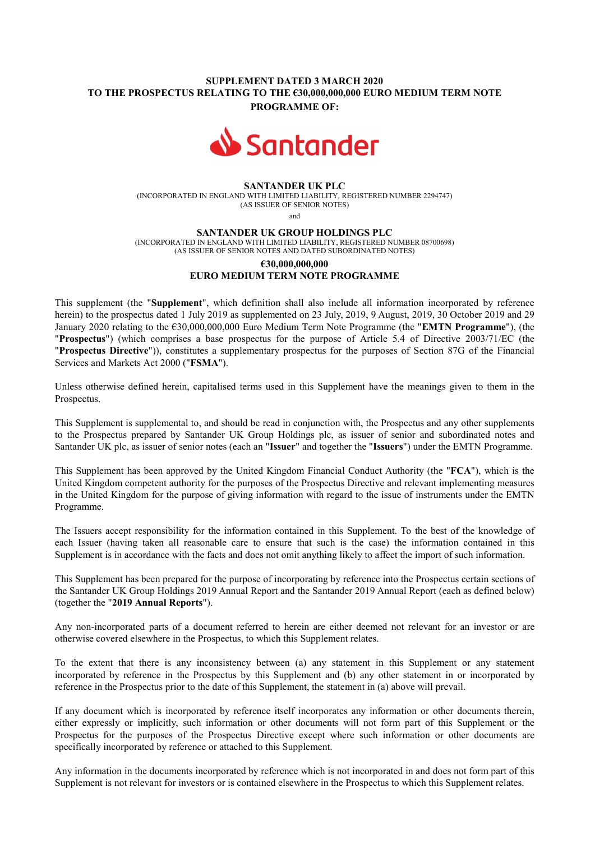## **SUPPLEMENT DATED 3 MARCH 2020 TO THE PROSPECTUS RELATING TO THE €30,000,000,000 EURO MEDIUM TERM NOTE PROGRAMME OF:**



### **SANTANDER UK PLC**

(INCORPORATED IN ENGLAND WITH LIMITED LIABILITY, REGISTERED NUMBER 2294747) (AS ISSUER OF SENIOR NOTES)

and

#### **SANTANDER UK GROUP HOLDINGS PLC**

(INCORPORATED IN ENGLAND WITH LIMITED LIABILITY, REGISTERED NUMBER 08700698) (AS ISSUER OF SENIOR NOTES AND DATED SUBORDINATED NOTES)

# **€30,000,000,000 EURO MEDIUM TERM NOTE PROGRAMME**

This supplement (the "**Supplement**", which definition shall also include all information incorporated by reference herein) to the prospectus dated 1 July 2019 as supplemented on 23 July, 2019, 9 August, 2019, 30 October 2019 and 29 January 2020 relating to the €30,000,000,000 Euro Medium Term Note Programme (the "**EMTN Programme**"), (the "**Prospectus**") (which comprises a base prospectus for the purpose of Article 5.4 of Directive 2003/71/EC (the "**Prospectus Directive**")), constitutes a supplementary prospectus for the purposes of Section 87G of the Financial Services and Markets Act 2000 ("**FSMA**").

Unless otherwise defined herein, capitalised terms used in this Supplement have the meanings given to them in the Prospectus.

This Supplement is supplemental to, and should be read in conjunction with, the Prospectus and any other supplements to the Prospectus prepared by Santander UK Group Holdings plc, as issuer of senior and subordinated notes and Santander UK plc, as issuer of senior notes (each an "**Issuer**" and together the "**Issuers**") under the EMTN Programme.

This Supplement has been approved by the United Kingdom Financial Conduct Authority (the "**FCA**"), which is the United Kingdom competent authority for the purposes of the Prospectus Directive and relevant implementing measures in the United Kingdom for the purpose of giving information with regard to the issue of instruments under the EMTN Programme.

The Issuers accept responsibility for the information contained in this Supplement. To the best of the knowledge of each Issuer (having taken all reasonable care to ensure that such is the case) the information contained in this Supplement is in accordance with the facts and does not omit anything likely to affect the import of such information.

This Supplement has been prepared for the purpose of incorporating by reference into the Prospectus certain sections of the Santander UK Group Holdings 2019 Annual Report and the Santander 2019 Annual Report (each as defined below) (together the "**2019 Annual Reports**").

Any non-incorporated parts of a document referred to herein are either deemed not relevant for an investor or are otherwise covered elsewhere in the Prospectus, to which this Supplement relates.

To the extent that there is any inconsistency between (a) any statement in this Supplement or any statement incorporated by reference in the Prospectus by this Supplement and (b) any other statement in or incorporated by reference in the Prospectus prior to the date of this Supplement, the statement in (a) above will prevail.

If any document which is incorporated by reference itself incorporates any information or other documents therein, either expressly or implicitly, such information or other documents will not form part of this Supplement or the Prospectus for the purposes of the Prospectus Directive except where such information or other documents are specifically incorporated by reference or attached to this Supplement.

Any information in the documents incorporated by reference which is not incorporated in and does not form part of this Supplement is not relevant for investors or is contained elsewhere in the Prospectus to which this Supplement relates.